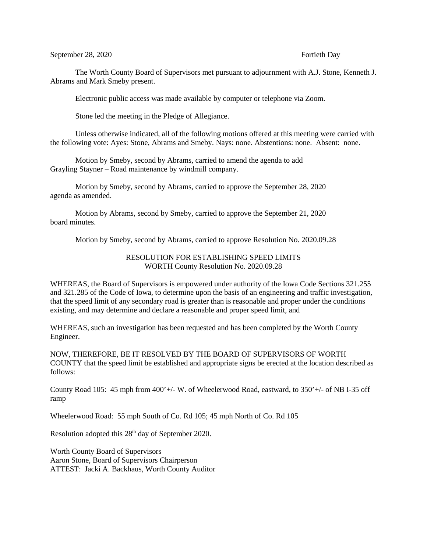## September 28, 2020 Fortieth Day

The Worth County Board of Supervisors met pursuant to adjournment with A.J. Stone, Kenneth J. Abrams and Mark Smeby present.

Electronic public access was made available by computer or telephone via Zoom.

Stone led the meeting in the Pledge of Allegiance.

Unless otherwise indicated, all of the following motions offered at this meeting were carried with the following vote: Ayes: Stone, Abrams and Smeby. Nays: none. Abstentions: none. Absent: none.

Motion by Smeby, second by Abrams, carried to amend the agenda to add Grayling Stayner – Road maintenance by windmill company.

Motion by Smeby, second by Abrams, carried to approve the September 28, 2020 agenda as amended.

Motion by Abrams, second by Smeby, carried to approve the September 21, 2020 board minutes.

Motion by Smeby, second by Abrams, carried to approve Resolution No. 2020.09.28

## RESOLUTION FOR ESTABLISHING SPEED LIMITS WORTH County Resolution No. 2020.09.28

WHEREAS, the Board of Supervisors is empowered under authority of the Iowa Code Sections 321.255 and 321.285 of the Code of Iowa, to determine upon the basis of an engineering and traffic investigation, that the speed limit of any secondary road is greater than is reasonable and proper under the conditions existing, and may determine and declare a reasonable and proper speed limit, and

WHEREAS, such an investigation has been requested and has been completed by the Worth County Engineer.

NOW, THEREFORE, BE IT RESOLVED BY THE BOARD OF SUPERVISORS OF WORTH COUNTY that the speed limit be established and appropriate signs be erected at the location described as follows:

County Road 105: 45 mph from 400'+/- W. of Wheelerwood Road, eastward, to 350'+/- of NB I-35 off ramp

Wheelerwood Road: 55 mph South of Co. Rd 105; 45 mph North of Co. Rd 105

Resolution adopted this 28<sup>th</sup> day of September 2020.

Worth County Board of Supervisors Aaron Stone, Board of Supervisors Chairperson ATTEST: Jacki A. Backhaus, Worth County Auditor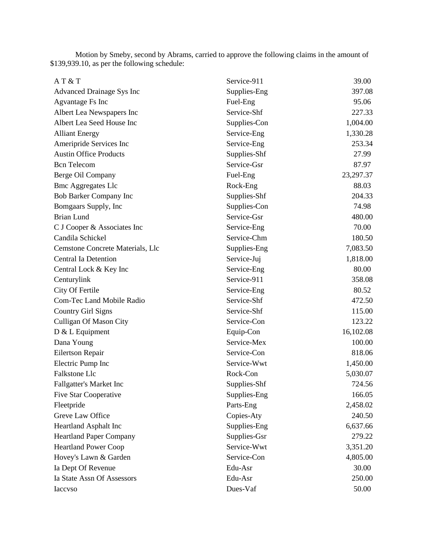Motion by Smeby, second by Abrams, carried to approve the following claims in the amount of \$139,939.10, as per the following schedule:

| AT&T                             | Service-911  | 39.00     |
|----------------------------------|--------------|-----------|
| Advanced Drainage Sys Inc        | Supplies-Eng | 397.08    |
| Agvantage Fs Inc                 | Fuel-Eng     | 95.06     |
| Albert Lea Newspapers Inc        | Service-Shf  | 227.33    |
| Albert Lea Seed House Inc        | Supplies-Con | 1,004.00  |
| <b>Alliant Energy</b>            | Service-Eng  | 1,330.28  |
| Ameripride Services Inc          | Service-Eng  | 253.34    |
| <b>Austin Office Products</b>    | Supplies-Shf | 27.99     |
| <b>Bcn</b> Telecom               | Service-Gsr  | 87.97     |
| Berge Oil Company                | Fuel-Eng     | 23,297.37 |
| <b>Bmc Aggregates Llc</b>        | Rock-Eng     | 88.03     |
| <b>Bob Barker Company Inc</b>    | Supplies-Shf | 204.33    |
| Bomgaars Supply, Inc             | Supplies-Con | 74.98     |
| <b>Brian Lund</b>                | Service-Gsr  | 480.00    |
| C J Cooper & Associates Inc      | Service-Eng  | 70.00     |
| Candila Schickel                 | Service-Chm  | 180.50    |
| Cemstone Concrete Materials, Llc | Supplies-Eng | 7,083.50  |
| <b>Central Ia Detention</b>      | Service-Juj  | 1,818.00  |
| Central Lock & Key Inc           | Service-Eng  | 80.00     |
| Centurylink                      | Service-911  | 358.08    |
| City Of Fertile                  | Service-Eng  | 80.52     |
| Com-Tec Land Mobile Radio        | Service-Shf  | 472.50    |
| <b>Country Girl Signs</b>        | Service-Shf  | 115.00    |
| <b>Culligan Of Mason City</b>    | Service-Con  | 123.22    |
| $D & L$ Equipment                | Equip-Con    | 16,102.08 |
| Dana Young                       | Service-Mex  | 100.00    |
| Eilertson Repair                 | Service-Con  | 818.06    |
| Electric Pump Inc                | Service-Wwt  | 1,450.00  |
| Falkstone Llc                    | Rock-Con     | 5,030.07  |
| <b>Fallgatter's Market Inc</b>   | Supplies-Shf | 724.56    |
| <b>Five Star Cooperative</b>     | Supplies-Eng | 166.05    |
| Fleetpride                       | Parts-Eng    | 2,458.02  |
| Greve Law Office                 | Copies-Aty   | 240.50    |
| <b>Heartland Asphalt Inc</b>     | Supplies-Eng | 6,637.66  |
| <b>Heartland Paper Company</b>   | Supplies-Gsr | 279.22    |
| <b>Heartland Power Coop</b>      | Service-Wwt  | 3,351.20  |
| Hovey's Lawn & Garden            | Service-Con  | 4,805.00  |
| Ia Dept Of Revenue               | Edu-Asr      | 30.00     |
| Ia State Assn Of Assessors       | Edu-Asr      | 250.00    |
| Iaccvso                          | Dues-Vaf     | 50.00     |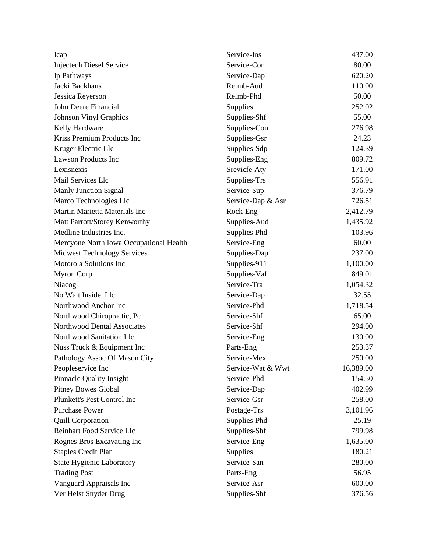| Icap                                    | Service-Ins       | 437.00    |
|-----------------------------------------|-------------------|-----------|
| <b>Injectech Diesel Service</b>         | Service-Con       | 80.00     |
| Ip Pathways                             | Service-Dap       | 620.20    |
| Jacki Backhaus                          | Reimb-Aud         | 110.00    |
| Jessica Reverson                        | Reimb-Phd         | 50.00     |
| John Deere Financial                    | Supplies          | 252.02    |
| <b>Johnson Vinyl Graphics</b>           | Supplies-Shf      | 55.00     |
| Kelly Hardware                          | Supplies-Con      | 276.98    |
| Kriss Premium Products Inc              | Supplies-Gsr      | 24.23     |
| Kruger Electric Llc                     | Supplies-Sdp      | 124.39    |
| <b>Lawson Products Inc</b>              | Supplies-Eng      | 809.72    |
| Lexisnexis                              | Srevicfe-Aty      | 171.00    |
| Mail Services Llc                       | Supplies-Trs      | 556.91    |
| <b>Manly Junction Signal</b>            | Service-Sup       | 376.79    |
| Marco Technologies Llc                  | Service-Dap & Asr | 726.51    |
| Martin Marietta Materials Inc           | Rock-Eng          | 2,412.79  |
| Matt Parrott/Storey Kenworthy           | Supplies-Aud      | 1,435.92  |
| Medline Industries Inc.                 | Supplies-Phd      | 103.96    |
| Mercyone North Iowa Occupational Health | Service-Eng       | 60.00     |
| <b>Midwest Technology Services</b>      | Supplies-Dap      | 237.00    |
| Motorola Solutions Inc                  | Supplies-911      | 1,100.00  |
| <b>Myron Corp</b>                       | Supplies-Vaf      | 849.01    |
| Niacog                                  | Service-Tra       | 1,054.32  |
| No Wait Inside, Llc                     | Service-Dap       | 32.55     |
| Northwood Anchor Inc                    | Service-Phd       | 1,718.54  |
| Northwood Chiropractic, Pc              | Service-Shf       | 65.00     |
| Northwood Dental Associates             | Service-Shf       | 294.00    |
| Northwood Sanitation Llc                | Service-Eng       | 130.00    |
| Nuss Truck & Equipment Inc              | Parts-Eng         | 253.37    |
| Pathology Assoc Of Mason City           | Service-Mex       | 250.00    |
| Peopleservice Inc                       | Service-Wat & Wwt | 16,389.00 |
| <b>Pinnacle Quality Insight</b>         | Service-Phd       | 154.50    |
| <b>Pitney Bowes Global</b>              | Service-Dap       | 402.99    |
| Plunkett's Pest Control Inc             | Service-Gsr       | 258.00    |
| <b>Purchase Power</b>                   | Postage-Trs       | 3,101.96  |
| <b>Quill Corporation</b>                | Supplies-Phd      | 25.19     |
| Reinhart Food Service Llc               | Supplies-Shf      | 799.98    |
| Rognes Bros Excavating Inc              | Service-Eng       | 1,635.00  |
| <b>Staples Credit Plan</b>              | Supplies          | 180.21    |
| <b>State Hygienic Laboratory</b>        | Service-San       | 280.00    |
| <b>Trading Post</b>                     | Parts-Eng         | 56.95     |
| Vanguard Appraisals Inc                 | Service-Asr       | 600.00    |
| Ver Helst Snyder Drug                   | Supplies-Shf      | 376.56    |